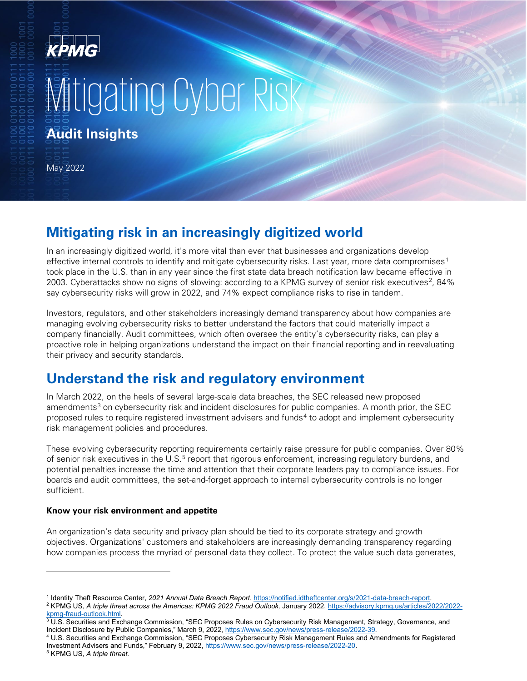## KPMG

# **Witigating Cyber Risk**

**Audit Insights**

May 2022

## **Mitigating risk in an increasingly digitized world**

In an increasingly digitized world, it's more vital than ever that businesses and organizations develop effective internal controls to identify and mitigate cybersecurity risks. Last year, more data compromises<sup>[1](#page-0-0)</sup> took place in the U.S. than in any year since the first state data breach notification law became effective in [2](#page-0-1)003. Cyberattacks show no signs of slowing: according to a KPMG survey of senior risk executives<sup>2</sup>, 84% say cybersecurity risks will grow in 2022, and 74% expect compliance risks to rise in tandem.

Investors, regulators, and other stakeholders increasingly demand transparency about how companies are managing evolving cybersecurity risks to better understand the factors that could materially impact a company financially. Audit committees, which often oversee the entity's cybersecurity risks, can play a proactive role in helping organizations understand the impact on their financial reporting and in reevaluating their privacy and security standards.

## **Understand the risk and regulatory environment**

In March 2022, on the heels of several large-scale data breaches, the SEC released new proposed amendments<sup>[3](#page-0-2)</sup> on cybersecurity risk and incident disclosures for public companies. A month prior, the SEC proposed rules to require registered investment advisers and funds<sup>[4](#page-0-3)</sup> to adopt and implement cybersecurity risk management policies and procedures.

These evolving cybersecurity reporting requirements certainly raise pressure for public companies. Over 80% of senior risk executives in the U.S.<sup>[5](#page-0-4)</sup> report that rigorous enforcement, increasing regulatory burdens, and potential penalties increase the time and attention that their corporate leaders pay to compliance issues. For boards and audit committees, the set-and-forget approach to internal cybersecurity controls is no longer sufficient.

#### **Know your risk environment and appetite**

An organization's data security and privacy plan should be tied to its corporate strategy and growth objectives. Organizations' customers and stakeholders are increasingly demanding transparency regarding how companies process the myriad of personal data they collect. To protect the value such data generates,

<span id="page-0-1"></span><span id="page-0-0"></span><sup>&</sup>lt;sup>1</sup> Identity Theft Resource Center, 2021 Annual Data Breach Report, https://notified.idtheftcenter.org/s/2021-data-breach-report.<br><sup>2</sup> KPMG US, A triple threat across the Americas: KPMG 2022 Fraud Outlook, January 2022, htt [kpmg-fraud-outlook.html.](https://advisory.kpmg.us/articles/2022/2022-kpmg-fraud-outlook.html)

<span id="page-0-2"></span> $3$  U.S. Securities and Exchange Commission, "SEC Proposes Rules on Cybersecurity Risk Management, Strategy, Governance, and Incident Disclosure by Public Companies," March 9, 2022[, https://www.sec.gov/news/press-release/2022-39.](https://www.sec.gov/news/press-release/2022-39)

<span id="page-0-3"></span><sup>4</sup> U.S. Securities and Exchange Commission, "SEC Proposes Cybersecurity Risk Management Rules and Amendments for Registered Investment Advisers and Funds," February 9, 2022[, https://www.sec.gov/news/press-release/2022-20.](https://www.sec.gov/news/press-release/2022-20)

<span id="page-0-4"></span><sup>5</sup> KPMG US, *A triple threat*.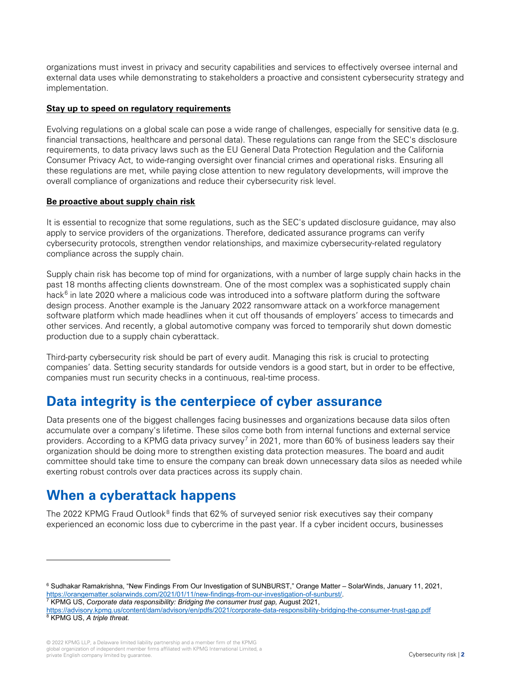organizations must invest in privacy and security capabilities and services to effectively oversee internal and external data uses while demonstrating to stakeholders a proactive and consistent cybersecurity strategy and implementation.

#### **Stay up to speed on regulatory requirements**

Evolving regulations on a global scale can pose a wide range of challenges, especially for sensitive data (e.g. financial transactions, healthcare and personal data). These regulations can range from the SEC's disclosure requirements, to data privacy laws such as the EU General Data Protection Regulation and the California Consumer Privacy Act, to wide-ranging oversight over financial crimes and operational risks. Ensuring all these regulations are met, while paying close attention to new regulatory developments, will improve the overall compliance of organizations and reduce their cybersecurity risk level.

#### **Be proactive about supply chain risk**

It is essential to recognize that some regulations, such as the SEC's updated disclosure guidance, may also apply to service providers of the organizations. Therefore, dedicated assurance programs can verify cybersecurity protocols, strengthen vendor relationships, and maximize cybersecurity-related regulatory compliance across the supply chain.

Supply chain risk has become top of mind for organizations, with a number of large supply chain hacks in the past 18 months affecting clients downstream. One of the most complex was a sophisticated supply chain hack $6$  in late 2020 where a malicious code was introduced into a software platform during the software design process. Another example is the January 2022 ransomware attack on a workforce management software platform which made headlines when it cut off thousands of employers' access to timecards and other services. And recently, a global automotive company was forced to temporarily shut down domestic production due to a supply chain cyberattack.

Third-party cybersecurity risk should be part of every audit. Managing this risk is crucial to protecting companies' data. Setting security standards for outside vendors is a good start, but in order to be effective, companies must run security checks in a continuous, real-time process.

## **Data integrity is the centerpiece of cyber assurance**

Data presents one of the biggest challenges facing businesses and organizations because data silos often accumulate over a company's lifetime. These silos come both from internal functions and external service providers. According to a KPMG data privacy survey<sup>[7](#page-1-1)</sup> in 2021, more than 60% of business leaders say their organization should be doing more to strengthen existing data protection measures. The board and audit committee should take time to ensure the company can break down unnecessary data silos as needed while exerting robust controls over data practices across its supply chain.

### **When a cyberattack happens**

The 2022 KPMG Fraud Outlook $8$  finds that 62% of surveyed senior risk executives say their company experienced an economic loss due to cybercrime in the past year. If a cyber incident occurs, businesses

<span id="page-1-0"></span><sup>6</sup> Sudhakar Ramakrishna, "New Findings From Our Investigation of SUNBURST," Orange Matter – SolarWinds, January 11, 2021, [https://orangematter.solarwinds.com/2021/01/11/new-findings-from-our-investigation-of-sunburst/.](https://orangematter.solarwinds.com/2021/01/11/new-findings-from-our-investigation-of-sunburst/)

<span id="page-1-1"></span><sup>7</sup> KPMG US, *Corporate data responsibility: Bridging the consumer trust gap,* August 2021,

<span id="page-1-2"></span><https://advisory.kpmg.us/content/dam/advisory/en/pdfs/2021/corporate-data-responsibility-bridging-the-consumer-trust-gap.pdf> <sup>8</sup> KPMG US, *A triple threat*.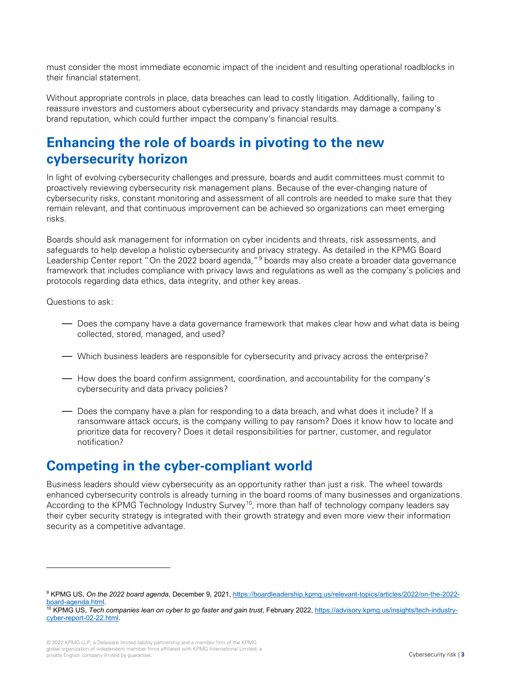must consider the most immediate economic impact of the incident and resulting operational roadblocks in their financial statement.

Without appropriate controls in place, data breaches can lead to costly litigation. Additionally, failing to reassure investors and customers about cybersecurity and privacy standards may damage a company's brand reputation, which could further impact the company's financial results.

## **Enhancing the role of boards in pivoting to the new cybersecurity horizon**

In light of evolving cybersecurity challenges and pressure, boards and audit committees must commit to proactively reviewing cybersecurity risk management plans. Because of the ever-changing nature of cybersecurity risks, constant monitoring and assessment of all controls are needed to make sure that they remain relevant, and that continuous improvement can be achieved so organizations can meet emerging risks.

Boards should ask management for information on cyber incidents and threats, risk assessments, and safeguards to help develop a holistic cybersecurity and privacy strategy. As detailed in the KPMG Board Leadership Center report "On the 2022 board agenda,"<sup>[9](#page-2-0)</sup> boards may also create a broader data governance framework that includes compliance with privacy laws and regulations as well as the company's policies and protocols regarding data ethics, data integrity, and other key areas.

Questions to ask:

- Does the company have a data governance framework that makes clear how and what data is being collected, stored, managed, and used?
- Which business leaders are responsible for cybersecurity and privacy across the enterprise?
- How does the board confirm assignment, coordination, and accountability for the company's cybersecurity and data privacy policies?
- Does the company have a plan for responding to a data breach, and what does it include? If a ransomware attack occurs, is the company willing to pay ransom? Does it know how to locate and prioritize data for recovery? Does it detail responsibilities for partner, customer, and regulator notification?

## **Competing in the cyber-compliant world**

Business leaders should view cybersecurity as an opportunity rather than just a risk. The wheel towards enhanced cybersecurity controls is already turning in the board rooms of many businesses and organizations. According to the KPMG Technology Industry Survey<sup>10</sup>, more than half of technology company leaders say their cyber security strategy is integrated with their growth strategy and even more view their information security as a competitive advantage.

<span id="page-2-0"></span><sup>9</sup> KPMG US, *On the 2022 board agenda*, December 9, 2021[, https://boardleadership.kpmg.us/relevant-topics/articles/2022/on-the-2022](https://boardleadership.kpmg.us/relevant-topics/articles/2022/on-the-2022-board-agenda.html) [board-agenda.html.](https://boardleadership.kpmg.us/relevant-topics/articles/2022/on-the-2022-board-agenda.html)

<span id="page-2-1"></span><sup>&</sup>lt;sup>10</sup> KPMG US, *Tech companies lean on cyber to go faster and gain trust*, February 2022, [https://advisory.kpmg.us/insights/tech-industry](https://advisory.kpmg.us/insights/tech-industry-cyber-report-02-22.html)[cyber-report-02-22.html.](https://advisory.kpmg.us/insights/tech-industry-cyber-report-02-22.html)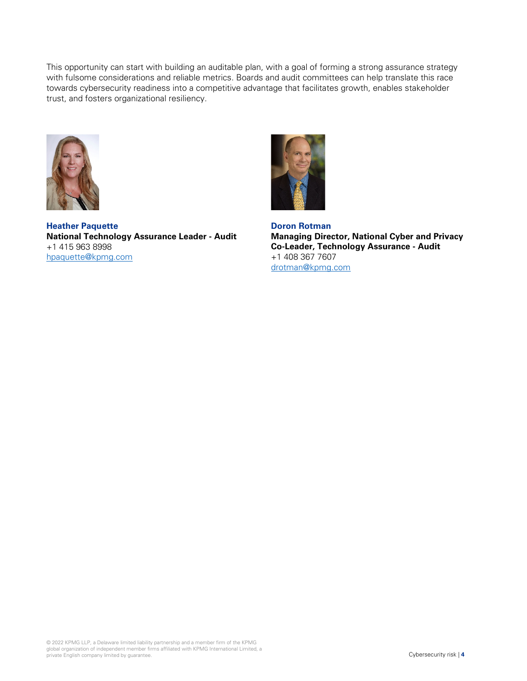This opportunity can start with building an auditable plan, with a goal of forming a strong assurance strategy with fulsome considerations and reliable metrics. Boards and audit committees can help translate this race towards cybersecurity readiness into a competitive advantage that facilitates growth, enables stakeholder trust, and fosters organizational resiliency.



**Heather Paquette National Technology Assurance Leader - Audit** +1 415 963 8998 [hpaquette@kpmg.com](mailto:hpaquette@kpmg.com)



**Doron Rotman Managing Director, National Cyber and Privacy Co-Leader, Technology Assurance - Audit** +1 408 367 7607 [drotman@kpmg.com](mailto:drotman@kpmg.com)